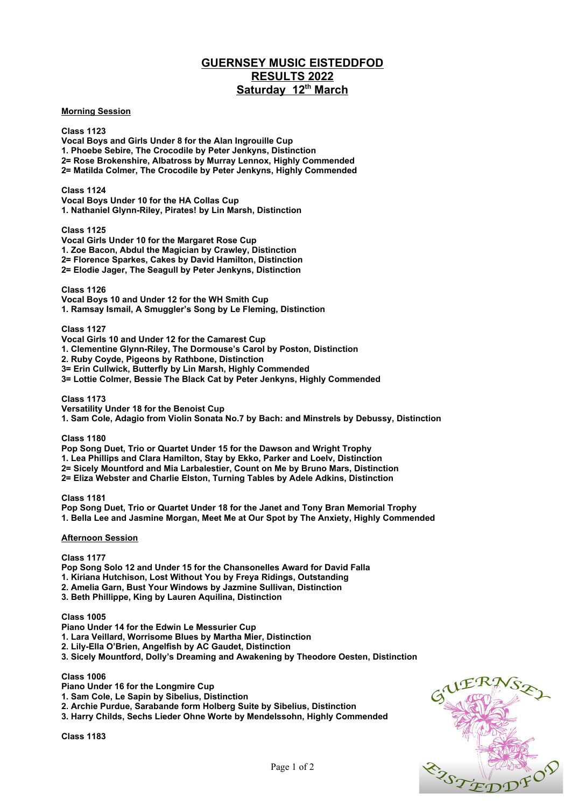# **GUERNSEY MUSIC EISTEDDFOD RESULTS 2022 Saturday 12th March**

## **Morning Session**

**Class 1123 Vocal Boys and Girls Under 8 for the Alan Ingrouille Cup 1. Phoebe Sebire, The Crocodile by Peter Jenkyns, Distinction 2= Rose Brokenshire, Albatross by Murray Lennox, Highly Commended 2= Matilda Colmer, The Crocodile by Peter Jenkyns, Highly Commended**

**Class 1124 Vocal Boys Under 10 for the HA Collas Cup 1. Nathaniel Glynn-Riley, Pirates! by Lin Marsh, Distinction**

**Class 1125**

**Vocal Girls Under 10 for the Margaret Rose Cup 1. Zoe Bacon, Abdul the Magician by Crawley, Distinction 2= Florence Sparkes, Cakes by David Hamilton, Distinction 2= Elodie Jager, The Seagull by Peter Jenkyns, Distinction** 

**Class 1126**

**Vocal Boys 10 and Under 12 for the WH Smith Cup 1. Ramsay Ismail, A Smuggler's Song by Le Fleming, Distinction**

**Class 1127**

**Vocal Girls 10 and Under 12 for the Camarest Cup**

**1. Clementine Glynn-Riley, The Dormouse's Carol by Poston, Distinction** 

**2. Ruby Coyde, Pigeons by Rathbone, Distinction** 

**3= Erin Cullwick, Butterfly by Lin Marsh, Highly Commended**

**3= Lottie Colmer, Bessie The Black Cat by Peter Jenkyns, Highly Commended**

**Class 1173**

**Versatility Under 18 for the Benoist Cup**

**1. Sam Cole, Adagio from Violin Sonata No.7 by Bach: and Minstrels by Debussy, Distinction**

**Class 1180**

**Pop Song Duet, Trio or Quartet Under 15 for the Dawson and Wright Trophy** 

**1. Lea Phillips and Clara Hamilton, Stay by Ekko, Parker and Loelv, Distinction**

**2= Sicely Mountford and Mia Larbalestier, Count on Me by Bruno Mars, Distinction** 

**2= Eliza Webster and Charlie Elston, Turning Tables by Adele Adkins, Distinction** 

**Class 1181**

**Pop Song Duet, Trio or Quartet Under 18 for the Janet and Tony Bran Memorial Trophy 1. Bella Lee and Jasmine Morgan, Meet Me at Our Spot by The Anxiety, Highly Commended**

#### **Afternoon Session**

**Class 1177**

**Pop Song Solo 12 and Under 15 for the Chansonelles Award for David Falla**

- **1. Kiriana Hutchison, Lost Without You by Freya Ridings, Outstanding**
- **2. Amelia Garn, Bust Your Windows by Jazmine Sullivan, Distinction**
- **3. Beth Phillippe, King by Lauren Aquilina, Distinction**

#### **Class 1005**

**Piano Under 14 for the Edwin Le Messurier Cup**

- **1. Lara Veillard, Worrisome Blues by Martha Mier, Distinction**
- **2. Lily-Ella O'Brien, Angelfish by AC Gaudet, Distinction**
- **3. Sicely Mountford, Dolly's Dreaming and Awakening by Theodore Oesten, Distinction**

### **Class 1006**

- **Piano Under 16 for the Longmire Cup**
- **1. Sam Cole, Le Sapin by Sibelius, Distinction**
- **2. Archie Purdue, Sarabande form Holberg Suite by Sibelius, Distinction**
- **3. Harry Childs, Sechs Lieder Ohne Worte by Mendelssohn, Highly Commended**

**Class 1183**